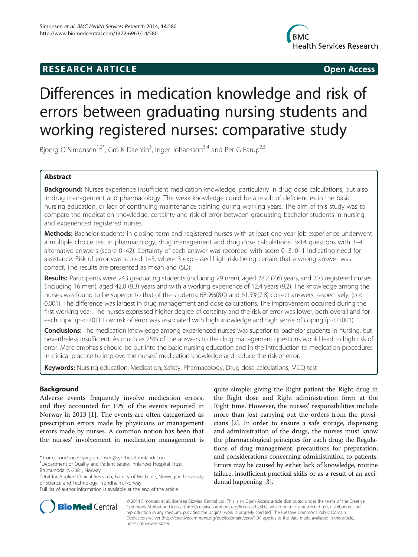# R E S EAR CH A R TIC L E Open Access



# Differences in medication knowledge and risk of errors between graduating nursing students and working registered nurses: comparative study

Bjoerg O Simonsen<sup>1,2\*</sup>, Gro K Daehlin<sup>3</sup>, Inger Johansson<sup>3,4</sup> and Per G Farup<sup>2,5</sup>

# Abstract

Background: Nurses experience insufficient medication knowledge; particularly in drug dose calculations, but also in drug management and pharmacology. The weak knowledge could be a result of deficiencies in the basic nursing education, or lack of continuing maintenance training during working years. The aim of this study was to compare the medication knowledge, certainty and risk of error between graduating bachelor students in nursing and experienced registered nurses.

Methods: Bachelor students in closing term and registered nurses with at least one year job experience underwent a multiple choice test in pharmacology, drug management and drug dose calculations: 3x14 questions with 3–4 alternative answers (score 0–42). Certainty of each answer was recorded with score 0–3, 0–1 indicating need for assistance. Risk of error was scored 1–3, where 3 expressed high risk: being certain that a wrong answer was correct. The results are presented as mean and (SD).

Results: Participants were 243 graduating students (including 29 men), aged 28.2 (7.6) years, and 203 registered nurses (including 16 men), aged 42.0 (9.3) years and with a working experience of 12.4 years (9.2). The knowledge among the nurses was found to be superior to that of the students: 68.9%(8.0) and 61.5%(7.8) correct answers, respectively, (p < 0.001). The difference was largest in drug management and dose calculations. The improvement occurred during the first working year. The nurses expressed higher degree of certainty and the risk of error was lower, both overall and for each topic (p < 0.01). Low risk of error was associated with high knowledge and high sense of coping (p < 0.001).

Conclusions: The medication knowledge among experienced nurses was superior to bachelor students in nursing, but nevertheless insufficient. As much as 25% of the answers to the drug management questions would lead to high risk of error. More emphasis should be put into the basic nursing education and in the introduction to medication procedures in clinical practice to improve the nurses' medication knowledge and reduce the risk of error.

Keywords: Nursing education, Medication, Safety, Pharmacology, Drug dose calculations, MCQ test

# Background

Adverse events frequently involve medication errors, and they accounted for 19% of the events reported in Norway in 2013 [[1\]](#page-9-0). The events are often categorized as prescription errors made by physicians or management errors made by nurses. A common notion has been that the nurses' involvement in medication management is

quite simple: giving the Right patient the Right drug in the Right dose and Right administration form at the Right time. However, the nurses' responsibilities include more than just carrying out the orders from the physicians [[2\]](#page-9-0). In order to ensure a safe storage, dispensing and administration of the drugs, the nurses must know the pharmacological principles for each drug; the Regulations of drug management; precautions for preparation; and considerations concerning administration to patients. Errors may be caused by either lack of knowledge, routine failure, insufficient practical skills or as a result of an accidental happening [\[3](#page-9-0)].



© 2014 Simonsen et al.; licensee BioMed Central Ltd. This is an Open Access article distributed under the terms of the Creative Commons Attribution License [\(http://creativecommons.org/licenses/by/4.0\)](http://creativecommons.org/licenses/by/4.0), which permits unrestricted use, distribution, and reproduction in any medium, provided the original work is properly credited. The Creative Commons Public Domain Dedication waiver [\(http://creativecommons.org/publicdomain/zero/1.0/](http://creativecommons.org/publicdomain/zero/1.0/)) applies to the data made available in this article, unless otherwise stated.

<sup>\*</sup> Correspondence: [bjorg.simonsen@sykehuset-innlandet.no](mailto:bjorg.simonsen@sykehuset-innlandet.no) <sup>1</sup>

<sup>&</sup>lt;sup>1</sup>Department of Quality and Patient Safety, Innlandet Hospital Trust, Brumunddal N-2381, Norway

<sup>&</sup>lt;sup>2</sup>Unit for Applied Clinical Research, Faculty of Medicine, Norwegian University of Science and Technology, Trondheim, Norway

Full list of author information is available at the end of the article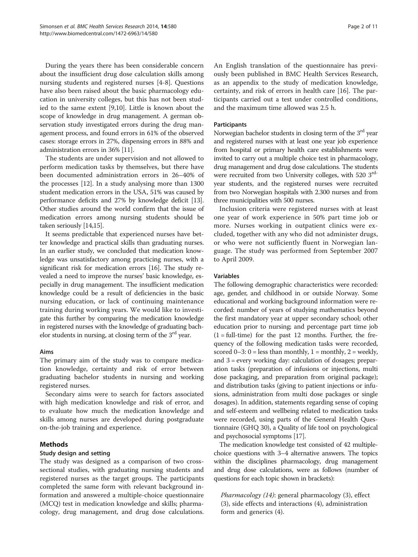During the years there has been considerable concern about the insufficient drug dose calculation skills among nursing students and registered nurses [[4-](#page-9-0)[8\]](#page-10-0). Questions have also been raised about the basic pharmacology education in university colleges, but this has not been studied to the same extent [\[9,10\]](#page-10-0). Little is known about the scope of knowledge in drug management. A german observation study investigated errors during the drug management process, and found errors in 61% of the observed cases: storage errors in 27%, dispensing errors in 88% and administration errors in 36% [\[11](#page-10-0)].

The students are under supervision and not allowed to perform medication tasks by themselves, but there have been documented administration errors in 26–40% of the processes [\[12](#page-10-0)]. In a study analysing more than 1300 student medication errors in the USA, 51% was caused by performance deficits and 27% by knowledge deficit [[13](#page-10-0)]. Other studies around the world confirm that the issue of medication errors among nursing students should be taken seriously [[14,15\]](#page-10-0).

It seems predictable that experienced nurses have better knowledge and practical skills than graduating nurses. In an earlier study, we concluded that medication knowledge was unsatisfactory among practicing nurses, with a significant risk for medication errors [[16\]](#page-10-0). The study revealed a need to improve the nurses' basic knowledge, especially in drug management. The insufficient medication knowledge could be a result of deficiencies in the basic nursing education, or lack of continuing maintenance training during working years. We would like to investigate this further by comparing the medication knowledge in registered nurses with the knowledge of graduating bachelor students in nursing, at closing term of the  $3<sup>rd</sup>$  year.

#### Aims

The primary aim of the study was to compare medication knowledge, certainty and risk of error between graduating bachelor students in nursing and working registered nurses.

Secondary aims were to search for factors associated with high medication knowledge and risk of error, and to evaluate how much the medication knowledge and skills among nurses are developed during postgraduate on-the-job training and experience.

# Methods

# Study design and setting

The study was designed as a comparison of two crosssectional studies, with graduating nursing students and registered nurses as the target groups. The participants completed the same form with relevant background information and answered a multiple-choice questionnaire (MCQ) test in medication knowledge and skills; pharmacology, drug management, and drug dose calculations.

An English translation of the questionnaire has previously been published in BMC Health Services Research, as an appendix to the study of medication knowledge, certainty, and risk of errors in health care [\[16\]](#page-10-0). The participants carried out a test under controlled conditions, and the maximum time allowed was 2.5 h.

# **Participants**

Norwegian bachelor students in closing term of the  $3<sup>rd</sup>$  year and registered nurses with at least one year job experience from hospital or primary health care establishments were invited to carry out a multiple choice test in pharmacology, drug management and drug dose calculations. The students were recruited from two University colleges, with 520 3<sup>rd-</sup> year students, and the registered nurses were recruited from two Norwegian hospitals with 2.300 nurses and from three municipalities with 500 nurses.

Inclusion criteria were registered nurses with at least one year of work experience in 50% part time job or more. Nurses working in outpatient clinics were excluded, together with any who did not administer drugs, or who were not sufficiently fluent in Norwegian language. The study was performed from September 2007 to April 2009.

# Variables

The following demographic characteristics were recorded: age, gender, and childhood in or outside Norway. Some educational and working background information were recorded: number of years of studying mathematics beyond the first mandatory year at upper secondary school; other education prior to nursing; and percentage part time job  $(1 = full-time)$  for the past 12 months. Further, the frequency of the following medication tasks were recorded, scored  $0-3$ :  $0 =$  less than monthly,  $1 =$  monthly,  $2 =$  weekly, and 3 = every working day: calculation of dosages; preparation tasks (preparation of infusions or injections, multi dose packaging, and preparation from original package); and distribution tasks (giving to patient injections or infusions, administration from multi dose packages or single dosages). In addition, statements regarding sense of coping and self-esteem and wellbeing related to medication tasks were recorded, using parts of the General Health Questionnaire (GHQ 30), a Quality of life tool on psychological and psychosocial symptoms [\[17](#page-10-0)].

The medication knowledge test consisted of 42 multiplechoice questions with 3–4 alternative answers. The topics within the disciplines pharmacology, drug management and drug dose calculations, were as follows (number of questions for each topic shown in brackets):

Pharmacology (14): general pharmacology (3), effect (3), side effects and interactions (4), administration form and generics (4).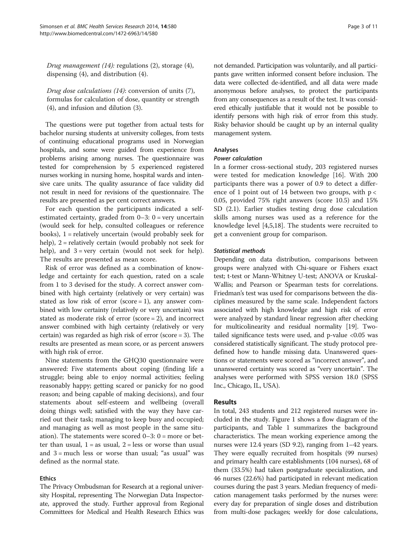Drug management (14): regulations (2), storage (4), dispensing (4), and distribution (4).

Drug dose calculations (14): conversion of units (7), formulas for calculation of dose, quantity or strength (4), and infusion and dilution (3).

The questions were put together from actual tests for bachelor nursing students at university colleges, from tests of continuing educational programs used in Norwegian hospitals, and some were guided from experience from problems arising among nurses. The questionnaire was tested for comprehension by 5 experienced registered nurses working in nursing home, hospital wards and intensive care units. The quality assurance of face validity did not result in need for revisions of the questionnaire. The results are presented as per cent correct answers.

For each question the participants indicated a selfestimated certainty, graded from  $0-3$ :  $0 =$  very uncertain (would seek for help, consulted colleagues or reference books), 1 = relatively uncertain (would probably seek for help), 2 = relatively certain (would probably not seek for help), and  $3 = \text{very certain (would not seek for help).}$ The results are presented as mean score.

Risk of error was defined as a combination of knowledge and certainty for each question, rated on a scale from 1 to 3 devised for the study. A correct answer combined with high certainty (relatively or very certain) was stated as low risk of error (score  $= 1$ ), any answer combined with low certainty (relatively or very uncertain) was stated as moderate risk of error (score = 2), and incorrect answer combined with high certainty (relatively or very certain) was regarded as high risk of error (score = 3). The results are presented as mean score, or as percent answers with high risk of error.

Nine statements from the GHQ30 questionnaire were answered: Five statements about coping (finding life a struggle; being able to enjoy normal activities; feeling reasonably happy; getting scared or panicky for no good reason; and being capable of making decisions), and four statements about self-esteem and wellbeing (overall doing things well; satisfied with the way they have carried out their task; managing to keep busy and occupied; and managing as well as most people in the same situation). The statements were scored  $0-3$ :  $0 =$  more or better than usual,  $1 =$  as usual,  $2 =$  less or worse than usual and  $3 =$  much less or worse than usual; "as usual" was defined as the normal state.

# Ethics

The Privacy Ombudsman for Research at a regional university Hospital, representing The Norwegian Data Inspectorate, approved the study. Further approval from Regional Committees for Medical and Health Research Ethics was

not demanded. Participation was voluntarily, and all participants gave written informed consent before inclusion. The data were collected de-identified, and all data were made anonymous before analyses, to protect the participants from any consequences as a result of the test. It was considered ethically justifiable that it would not be possible to identify persons with high risk of error from this study. Risky behavior should be caught up by an internal quality management system.

# Analyses

#### Power calculation

In a former cross-sectional study, 203 registered nurses were tested for medication knowledge [[16](#page-10-0)]. With 200 participants there was a power of 0.9 to detect a difference of 1 point out of 14 between two groups, with  $p <$ 0.05, provided 75% right answers (score 10.5) and 15% SD (2.1). Earlier studies testing drug dose calculation skills among nurses was used as a reference for the knowledge level [[4,5,](#page-9-0)[18\]](#page-10-0). The students were recruited to get a convenient group for comparison.

#### Statistical methods

Depending on data distribution, comparisons between groups were analyzed with Chi-square or Fishers exact test; t-test or Mann-Whitney U-test; ANOVA or Kruskal-Wallis; and Pearson or Spearman tests for correlations. Friedman's test was used for comparisons between the disciplines measured by the same scale. Independent factors associated with high knowledge and high risk of error were analyzed by standard linear regression after checking for multicolinearity and residual normality [\[19\]](#page-10-0). Twotailed significance tests were used, and p-value <0.05 was considered statistically significant. The study protocol predefined how to handle missing data. Unanswered questions or statements were scored as "incorrect answer", and unanswered certainty was scored as "very uncertain". The analyses were performed with SPSS version 18.0 (SPSS Inc., Chicago, IL, USA).

#### Results

In total, 243 students and 212 registered nurses were included in the study. Figure [1](#page-3-0) shows a flow diagram of the participants, and Table [1](#page-3-0) summarizes the background characteristics. The mean working experience among the nurses were 12.4 years (SD 9.2), ranging from 1–42 years. They were equally recruited from hospitals (99 nurses) and primary health care establishments (104 nurses), 68 of them (33.5%) had taken postgraduate specialization, and 46 nurses (22.6%) had participated in relevant medication courses during the past 3 years. Median frequency of medication management tasks performed by the nurses were: every day for preparation of single doses and distribution from multi-dose packages; weekly for dose calculations,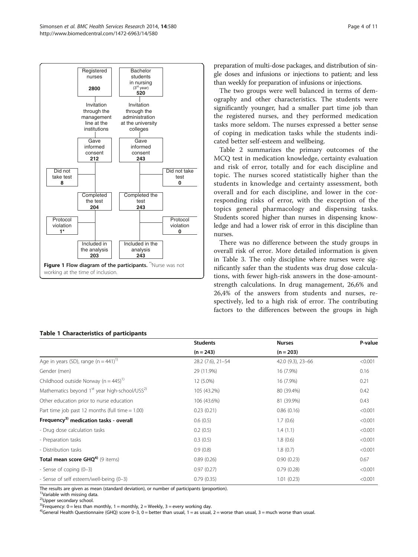<span id="page-3-0"></span>

preparation of multi-dose packages, and distribution of single doses and infusions or injections to patient; and less than weekly for preparation of infusions or injections.

The two groups were well balanced in terms of demography and other characteristics. The students were significantly younger, had a smaller part time job than the registered nurses, and they performed medication tasks more seldom. The nurses expressed a better sense of coping in medication tasks while the students indicated better self-esteem and wellbeing.

Table [2](#page-4-0) summarizes the primary outcomes of the MCQ test in medication knowledge, certainty evaluation and risk of error, totally and for each discipline and topic. The nurses scored statistically higher than the students in knowledge and certainty assessment, both overall and for each discipline, and lower in the corresponding risks of error, with the exception of the topics general pharmacology and dispensing tasks. Students scored higher than nurses in dispensing knowledge and had a lower risk of error in this discipline than nurses.

There was no difference between the study groups in overall risk of error. More detailed information is given in Table [3](#page-5-0). The only discipline where nurses were significantly safer than the students was drug dose calculations, with fewer high-risk answers in the dose-amountstrength calculations. In drug management, 26,6% and 26,4% of the answers from students and nurses, respectively, led to a high risk of error. The contributing factors to the differences between the groups in high

#### Table 1 Characteristics of participants

|                                                                       | <b>Students</b>   | <b>Nurses</b>     | P-value |  |
|-----------------------------------------------------------------------|-------------------|-------------------|---------|--|
|                                                                       | $(n = 243)$       | $(n = 203)$       |         |  |
| Age in years (SD), range $(n = 441)^{1}$                              | 28.2 (7.6), 21-54 | 42.0 (9.3), 23-66 | < 0.001 |  |
| Gender (men)                                                          | 29 (11.9%)        | 16 (7.9%)         | 0.16    |  |
| Childhood outside Norway ( $n = 445$ ) <sup>1)</sup>                  | 12 (5.0%)         | 16 (7.9%)         | 0.21    |  |
| Mathematics beyond 1 <sup>st</sup> year high-school/USS <sup>2)</sup> | 105 (43.2%)       | 80 (39.4%)        | 0.42    |  |
| Other education prior to nurse education                              | 106 (43.6%)       | 81 (39.9%)        | 0.43    |  |
| Part time job past 12 months (full time $= 1.00$ )                    | 0.23(0.21)        | 0.86(0.16)        | < 0.001 |  |
| Frequency <sup>3)</sup> medication tasks - overall                    | 0.6(0.5)          | 1.7(0.6)          | < 0.001 |  |
| - Drug dose calculation tasks                                         | 0.2(0.5)          | 1.4(1.1)          | < 0.001 |  |
| - Preparation tasks                                                   | 0.3(0.5)          | 1.8(0.6)          | < 0.001 |  |
| - Distribution tasks                                                  | 0.9(0.8)          | 1.8(0.7)          | < 0.001 |  |
| Total mean score $GHQ^{4}$ (9 items)                                  | 0.89(0.26)        | 0.90(0.23)        | 0.67    |  |
| - Sense of coping (0-3)                                               | 0.97(0.27)        | 0.79(0.28)        | < 0.001 |  |
| - Sense of self esteem/well-being (0-3)                               | 0.79(0.35)        | 1.01(0.23)        | < 0.001 |  |

The results are given as mean (standard deviation), or number of participants (proportion).

<sup>1)</sup>Variable with missing data.

2)Upper secondary school.

 $3$ Frequency: 0 = less than monthly, 1 = monthly, 2 = Weekly, 3 = every working day.

 $4$ General Health Questionnaire (GHQ) score 0-3, 0 = better than usual, 1 = as usual, 2 = worse than usual, 3 = much worse than usual.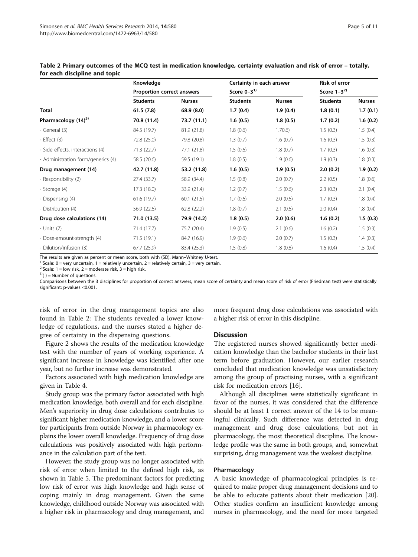|                                    | Knowledge<br><b>Proportion correct answers</b> |               | Certainty in each answer  |               | <b>Risk of error</b> |               |
|------------------------------------|------------------------------------------------|---------------|---------------------------|---------------|----------------------|---------------|
|                                    |                                                |               | Score $0-3$ <sup>1)</sup> |               | Score $1-3^{2}$      |               |
|                                    | <b>Students</b>                                | <b>Nurses</b> | <b>Students</b>           | <b>Nurses</b> | <b>Students</b>      | <b>Nurses</b> |
| <b>Total</b>                       | 61.5(7.8)                                      | 68.9 (8.0)    | 1.7(0.4)                  | 1.9(0.4)      | 1.8(0.1)             | 1.7(0.1)      |
| Pharmacology $(14)^{3}$            | 70.8 (11.4)                                    | 73.7 (11.1)   | 1.6(0.5)                  | 1.8(0.5)      | 1.7(0.2)             | 1.6(0.2)      |
| - General (3)                      | 84.5 (19.7)                                    | 81.9 (21.8)   | 1.8(0.6)                  | 1.70.6)       | 1.5(0.3)             | 1.5(0.4)      |
| $-$ Effect $(3)$                   | 72.8 (25.0)                                    | 79.8 (20.8)   | 1.3(0.7)                  | 1.6(0.7)      | 1.6(0.3)             | 1.5(0.3)      |
| - Side effects, interactions (4)   | 71.3 (22.7)                                    | 77.1 (21.8)   | 1.5(0.6)                  | 1.8(0.7)      | 1.7(0.3)             | 1.6(0.3)      |
| - Administration form/generics (4) | 58.5 (20.6)                                    | 59.5 (19.1)   | 1.8(0.5)                  | 1.9(0.6)      | 1.9(0.3)             | 1.8(0.3)      |
| Drug management (14)               | 42.7 (11.8)                                    | 53.2 (11.8)   | 1.6(0.5)                  | 1.9(0.5)      | 2.0(0.2)             | 1.9(0.2)      |
| - Responsibility (2)               | 27.4 (33.7)                                    | 58.9 (34.4)   | 1.5(0.8)                  | 2.0(0.7)      | 2.2(0.5)             | 1.8(0.6)      |
| - Storage (4)                      | 17.3(18.0)                                     | 33.9 (21.4)   | 1.2(0.7)                  | 1.5(0.6)      | 2.3(0.3)             | 2.1(0.4)      |
| - Dispensing (4)                   | 61.6(19.7)                                     | 60.1(21.5)    | 1.7(0.6)                  | 2.0(0.6)      | 1.7(0.3)             | 1.8(0.4)      |
| - Distribution (4)                 | 56.9 (22.6)                                    | 62.8(22.2)    | 1.8(0.7)                  | 2.1(0.6)      | 2.0(0.4)             | 1.8(0.4)      |
| Drug dose calculations (14)        | 71.0 (13.5)                                    | 79.9 (14.2)   | 1.8(0.5)                  | 2.0(0.6)      | 1.6(0.2)             | 1.5(0.3)      |
| - Units (7)                        | 71.4 (17.7)                                    | 75.7 (20.4)   | 1.9(0.5)                  | 2.1(0.6)      | 1.6(0.2)             | 1.5(0.3)      |
| - Dose-amount-strength (4)         | 71.5 (19.1)                                    | 84.7 (16.9)   | 1.9(0.6)                  | 2.0(0.7)      | 1.5(0.3)             | 1.4(0.3)      |
| - Dilution/infusion (3)            | 67.7(25.9)                                     | 83.4 (25.3)   | 1.5(0.8)                  | 1.8(0.8)      | 1.6(0.4)             | 1.5(0.4)      |

<span id="page-4-0"></span>Table 2 Primary outcomes of the MCQ test in medication knowledge, certainty evaluation and risk of error – totally, for each discipline and topic

The results are given as percent or mean score, both with (SD). Mann–Whitney U-test. <sup>1)</sup>Scale: 0 = very uncertain, 1 = relatively uncertain, 2 = relatively certain, 3 = very certain.

<sup>2)</sup>Scale: 1 = low risk, 2 = moderate risk, 3 = high risk.

 $3)$ () = Number of questions.

Comparisons between the 3 disciplines for proportion of correct answers, mean score of certainty and mean score of risk of error (Friedman test) were statistically significant; p-values ≤0.001.

risk of error in the drug management topics are also found in Table 2: The students revealed a lower knowledge of regulations, and the nurses stated a higher degree of certainty in the dispensing questions.

Figure [2](#page-5-0) shows the results of the medication knowledge test with the number of years of working experience. A significant increase in knowledge was identified after one year, but no further increase was demonstrated.

Factors associated with high medication knowledge are given in Table [4](#page-6-0).

Study group was the primary factor associated with high medication knowledge, both overall and for each discipline. Men's superiority in drug dose calculations contributes to significant higher medication knowledge, and a lower score for participants from outside Norway in pharmacology explains the lower overall knowledge. Frequency of drug dose calculations was positively associated with high performance in the calculation part of the test.

However, the study group was no longer associated with risk of error when limited to the defined high risk, as shown in Table [5](#page-7-0). The predominant factors for predicting low risk of error was high knowledge and high sense of coping mainly in drug management. Given the same knowledge, childhood outside Norway was associated with a higher risk in pharmacology and drug management, and

more frequent drug dose calculations was associated with a higher risk of error in this discipline.

# **Discussion**

The registered nurses showed significantly better medication knowledge than the bachelor students in their last term before graduation. However, our earlier research concluded that medication knowledge was unsatisfactory among the group of practising nurses, with a significant risk for medication errors [[16\]](#page-10-0).

Although all disciplines were statistically significant in favor of the nurses, it was considered that the difference should be at least 1 correct answer of the 14 to be meaningful clinically. Such difference was detected in drug management and drug dose calculations, but not in pharmacology, the most theoretical discipline. The knowledge profile was the same in both groups, and, somewhat surprising, drug management was the weakest discipline.

#### Pharmacology

A basic knowledge of pharmacological principles is required to make proper drug management decisions and to be able to educate patients about their medication [[20](#page-10-0)]. Other studies confirm an insufficient knowledge among nurses in pharmacology, and the need for more targeted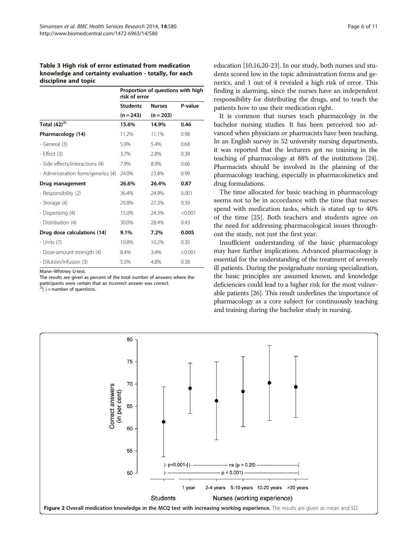# <span id="page-5-0"></span>Table 3 High risk of error estimated from medication knowledge and certainty evaluation - totally, for each discipline and topic

|                                    | Proportion of questions with high<br>risk of error |               |         |  |
|------------------------------------|----------------------------------------------------|---------------|---------|--|
|                                    | <b>Students</b>                                    | <b>Nurses</b> | P-value |  |
|                                    | $(n = 243)$                                        | $(n = 203)$   |         |  |
| Total $(42)^{2}$                   | 15.6%                                              | 14.9%         | 0.46    |  |
| Pharmacology (14)                  | 11.2%                                              | 11.1%         | 0.98    |  |
| - General (3)                      | 5.9%                                               | 5.4%          | 0.68    |  |
| $-$ Effect $(3)$                   | 3.7%                                               | 2.8%          | 0.38    |  |
| - Side effects/interactions (4)    | 7.9%                                               | 8.9%          | 0.66    |  |
| - Administration form/generics (4) | 24.0%                                              | 23.8%         | 0.99    |  |
| Drug management                    | 26.6%                                              | 26.4%         | 0.87    |  |
| - Responsibility (2)               | 36.4%                                              | 24.9%         | 0.001   |  |
| - Storage (4)                      | 29.8%                                              | 27.3%         | 0.39    |  |
| - Dispensing (4)                   | 15.0%                                              | 24.3%         | < 0.001 |  |
| - Distribution (4)                 | 30.0%                                              | 28.4%         | 0.43    |  |
| Drug dose calculations (14)        | 9.1%                                               | 7.2%          | 0.005   |  |
| - Units (7)                        | 10.8%                                              | 10.2%         | 0.30    |  |
| - Dose-amount-strength (4)         | 8.4%                                               | 3.4%          | < 0.001 |  |
| - Dilution/infusion (3)            | 5.5%                                               | 4.8%          | 0.38    |  |

Mann–Whitney U-test.

The results are given as percent of the total number of answers where the participants were certain that an incorrect answer was correct.<br><sup>2)</sup>() = number of questions.

education [\[10,16,20](#page-10-0)-[23](#page-10-0)]. In our study, both nurses and students scored low in the topic administration forms and generics, and 1 out of 4 revealed a high risk of error. This finding is alarming, since the nurses have an independent responsibility for distributing the drugs, and to teach the patients how to use their medication right.

It is common that nurses teach pharmacology in the bachelor nursing studies. It has been perceived too advanced when physicians or pharmacists have been teaching. In an English survey in 52 university nursing departments, it was reported that the lecturers got no training in the teaching of pharmacology at 88% of the institutions [\[24](#page-10-0)]. Pharmacists should be involved in the planning of the pharmacology teaching, especially in pharmacokinetics and drug formulations.

The time allocated for basic teaching in pharmacology seems not to be in accordance with the time that nurses spend with medication tasks, which is stated up to 40% of the time [\[25\]](#page-10-0). Both teachers and students agree on the need for addressing pharmacological issues throughout the study, not just the first year.

Insufficient understanding of the basic pharmacology may have further implications. Advanced pharmacology is essential for the understanding of the treatment of severely ill patients. During the postgraduate nursing specialization, the basic principles are assumed known, and knowledge deficiencies could lead to a higher risk for the most vulnerable patients [\[26\]](#page-10-0). This result underlines the importance of pharmacology as a core subject for continuously teaching and training during the bachelor study in nursing.

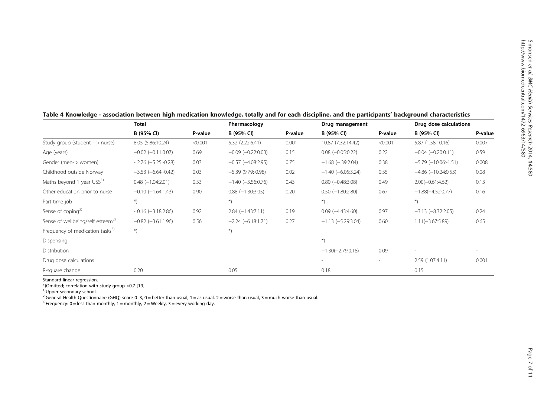|                                              | Total                    |         | Pharmacology             |         | Drug management          |         | Drug dose calculations     |         |
|----------------------------------------------|--------------------------|---------|--------------------------|---------|--------------------------|---------|----------------------------|---------|
|                                              | B (95% CI)               | P-value | B (95% CI)               | P-value | B (95% CI)               | P-value | B (95% CI)                 | P-value |
| Study group (student $-$ > nurse)            | 8.05 (5.86:10.24)        | < 0.001 | 5.32 (2.22:6.41)         | 0.001   | 10.87 (7.32:14.42)       | < 0.001 | 5.87 (1.58:10.16)          | 0.007   |
| Age (years)                                  | $-0.02$ $(-0.11:0.07)$   | 0.69    | $-0.09$ $(-0.22:0.03)$   | 0.15    | $0.08$ ( $-0.05:0.22$ )  | 0.22    | $-0.04$ $(-0.20:0.11)$     | 0.59    |
| Gender (men- > women)                        | $-2.76(-5.25:0.28)$      | 0.03    | $-0.57$ $(-4.08:2.95)$   | 0.75    | $-1.68$ ( $-0.39:2.04$ ) | 0.38    | $-5.79$ ( $-10.06$ :-1.51) | 0.008   |
| Childhood outside Norway                     | $-3.53$ $(-6.64:0.42)$   | 0.03    | $-5.39(9.79:-0.98)$      | 0.02    | $-1.40$ ( $-6.05:3.24$ ) | 0.55    | $-4.86$ ( $-10.24:0.53$ )  | 0.08    |
| Maths beyond 1 year USS <sup>1)</sup>        | $0.48$ (-1.04:2.01)      | 0.53    | $-1.40$ ( $-3.56:0.76$ ) | 0.43    | $0.80$ ( $-0.48:3.08$ )  | 0.49    | $2.00(-0.61:4.62)$         | 0.13    |
| Other education prior to nurse               | $-0.10$ $(-1.64:1.43)$   | 0.90    | $0.88$ ( $-1.30:3.05$ )  | 0.20    | $0.50$ ( $-1.80:2.80$ )  | 0.67    | $-1.88(-4.52:0.77)$        | 0.16    |
| Part time job                                | $*$                      |         | $*)$                     |         | $\ast$                   |         | $*)$                       |         |
| Sense of coping <sup>2)</sup>                | $-0.16(-3.18:2.86)$      | 0.92    | $2.84 (-1.43:7.11)$      | 0.19    | $0.09$ $(-4.43:4.60)$    | 0.97    | $-3.13$ $(-8.32:2.05)$     | 0.24    |
| Sense of wellbeing/self esteem <sup>2)</sup> | $-0.82$ ( $-3.61:1.96$ ) | 0.56    | $-2.24 (-6.18:1.71)$     | 0.27    | $-1.13 (-5.29:3.04)$     | 0.60    | $1.11(-3.67:5.89)$         | 0.65    |
| Frequency of medication tasks <sup>3)</sup>  | $*)$                     |         |                          |         |                          |         |                            |         |
| Dispensing                                   |                          |         |                          |         | $*$                      |         |                            |         |
| Distribution                                 |                          |         |                          |         | $-1.30(-2.79:0.18)$      | 0.09    |                            |         |
| Drug dose calculations                       |                          |         |                          |         |                          |         | 2.59 (1.07:4.11)           | 0.001   |
| R-square change                              | 0.20                     |         | 0.05                     |         | 0.18                     |         | 0.15                       |         |

#### <span id="page-6-0"></span>Table 4 Knowledge - association between high medication knowledge, totally and for each discipline, and the participants' background characteristics

Standard linear regression.

\*)Omitted; correlation with study group >0.7 [[19\]](#page-10-0).<br><sup>1)</sup>Upper secondary school.

<sup>2)</sup>General Health Questionnaire (GHQ) score 0–3, 0 = better than usual, 1 = as usual, 2 = worse than usual, 3 = much worse than usual.<br><sup>3)</sup>Frequency: 0 = less than monthly, 1 = monthly, 2 = Weekly, 3 = every working day.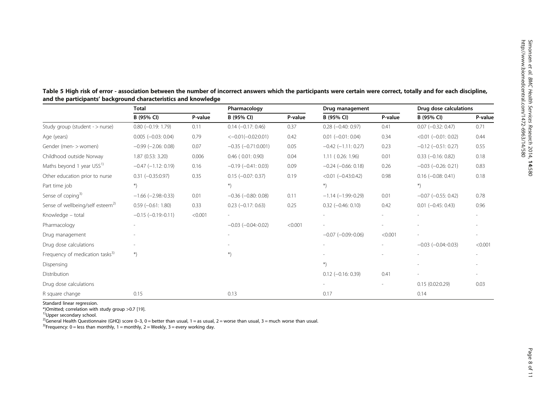|                                              | <b>Total</b>             |         | Pharmacology                  |         | Drug management           |         | Drug dose calculations   |         |
|----------------------------------------------|--------------------------|---------|-------------------------------|---------|---------------------------|---------|--------------------------|---------|
|                                              | B (95% CI)               | P-value | B (95% CI)                    | P-value | B (95% CI)                | P-value | B (95% CI)               | P-value |
| Study group (student - > nurse)              | $0.80$ ( $-0.19$ : 1.79) | 0.11    | $0.14 (-0.17:0.46)$           | 0.37    | $0.28$ ( $-0.40$ : 0.97)  | 0.41    | $0.07$ ( $-0.32$ : 0.47) | 0.71    |
| Age (years)                                  | $0.005 (-0.03: 0.04)$    | 0.79    | $\leftarrow 0.01(-0.02:0.01)$ | 0.42    | $0.01$ ( $-0.01$ : 0.04)  | 0.34    | $<0.01$ (-0.01: 0.02)    | 0.44    |
| Gender (men- > women)                        | $-0.99$ $(-2.06:0.08)$   | 0.07    | $-0.35$ $(-0.71:0.001)$       | 0.05    | $-0.42$ ( $-1.11$ : 0.27) | 0.23    | $-0.12$ $(-0.51:0.27)$   | 0.55    |
| Childhood outside Norway                     | 1.87 (0.53: 3.20)        | 0.006   | $0.46$ ( $0.01:0.90$ )        | 0.04    | 1.11(0.26:1.96)           | 0.01    | $0.33 (-0.16: 0.82)$     | 0.18    |
| Maths beyond 1 year USS <sup>1)</sup>        | $-0.47$ $(-1.12: 0.19)$  | 0.16    | $-0.19$ ( $-0.41$ : 0.03)     | 0.09    | $-0.24$ $(-0.66: 0.18)$   | 0.26    | $-0.03$ $(-0.26: 0.21)$  | 0.83    |
| Other education prior to nurse               | $0.31 (-0.35:0.97)$      | 0.35    | $0.15 (-0.07: 0.37)$          | 0.19    | $< 0.01 (-0.43:0.42)$     | 0.98    | $0.16$ ( $-0.08$ : 0.41) | 0.18    |
| Part time job                                | $*)$                     |         | $*)$                          |         | $*)$                      |         | $^{*}$                   |         |
| Sense of coping <sup>3)</sup>                | $-1.66$ $(-2.98: -0.33)$ | 0.01    | $-0.36$ ( $-0.80$ ; 0.08)     | 0.11    | $-1.14$ (-1.99:-0.29)     | 0.01    | $-0.07$ $(-0.55: 0.42)$  | 0.78    |
| Sense of wellbeing/self esteem <sup>2)</sup> | $0.59$ ( $-0.61$ : 1.80) | 0.33    | $0.23$ (-0.17: 0.63)          | 0.25    | $0.32$ ( $-0.46$ : 0.10)  | 0.42    | $0.01$ $(-0.45: 0.43)$   | 0.96    |
| Knowledge - total                            | $-0.15$ $(-0.19,-0.11)$  | < 0.001 |                               |         |                           |         |                          |         |
| Pharmacology                                 |                          |         | $-0.03$ $(-0.04; -0.02)$      | < 0.001 |                           |         |                          |         |
| Drug management                              |                          |         |                               |         | $-0.07$ $(-0.09; -0.06)$  | < 0.001 |                          |         |
| Drug dose calculations                       |                          |         |                               |         |                           |         | $-0.03$ $(-0.04; -0.03)$ | < 0.001 |
| Frequency of medication tasks <sup>3)</sup>  | $*)$                     |         | $*)$                          |         |                           |         |                          |         |
| Dispensing                                   |                          |         |                               |         | $*)$                      |         |                          |         |
| Distribution                                 |                          |         |                               |         | $0.12$ (-0.16: 0.39)      | 0.41    |                          |         |
| Drug dose calculations                       |                          |         |                               |         |                           |         | 0.15(0.02:0.29)          | 0.03    |
| R square change                              | 0.15                     |         | 0.13                          |         | 0.17                      |         | 0.14                     |         |

<span id="page-7-0"></span>

| Table 5 High risk of error - association between the number of incorrect answers which the participants were certain were correct, totally and for each discipline, |  |
|---------------------------------------------------------------------------------------------------------------------------------------------------------------------|--|
| and the participants' background characteristics and knowledge                                                                                                      |  |

Standard linear regression.

\*)Omitted; correlation with study group >0.7 [[19\]](#page-10-0). 1)Upper secondary school.

<sup>2)</sup>General Health Questionnaire (GHQ) score 0–3, 0 = better than usual, 1 = as usual, 2 = worse than usual, 3 = much worse than usual. <sup>3)</sup>Frequency: 0 = less than monthly, 1 = monthly, 2 = Weekly, 3 = every working day.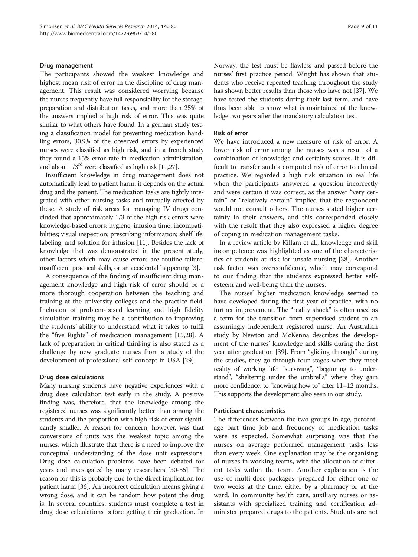#### Drug management

The participants showed the weakest knowledge and highest mean risk of error in the discipline of drug management. This result was considered worrying because the nurses frequently have full responsibility for the storage, preparation and distribution tasks, and more than 25% of the answers implied a high risk of error. This was quite similar to what others have found. In a german study testing a classification model for preventing medication handling errors, 30.9% of the observed errors by experienced nurses were classified as high risk, and in a french study they found a 15% error rate in medication administration, and about  $1/3^{\text{rd}}$  were classified as high risk [\[11,27](#page-10-0)].

Insufficient knowledge in drug management does not automatically lead to patient harm; it depends on the actual drug and the patient. The medication tasks are tightly integrated with other nursing tasks and mutually affected by these. A study of risk areas for managing IV drugs concluded that approximately 1/3 of the high risk errors were knowledge-based errors: hygiene; infusion time; incompatibilities; visual inspection; prescribing information; shelf life; labeling; and solution for infusion [\[11\]](#page-10-0). Besides the lack of knowledge that was demonstrated in the present study, other factors which may cause errors are routine failure, insufficient practical skills, or an accidental happening [\[3](#page-9-0)].

A consequence of the finding of insufficient drug management knowledge and high risk of error should be a more thorough cooperation between the teaching and training at the university colleges and the practice field. Inclusion of problem-based learning and high fidelity simulation training may be a contribution to improving the students' ability to understand what it takes to fulfil the "five Rights" of medication management [\[15,28\]](#page-10-0). A lack of preparation in critical thinking is also stated as a challenge by new graduate nurses from a study of the development of professional self-concept in USA [\[29](#page-10-0)].

#### Drug dose calculations

Many nursing students have negative experiences with a drug dose calculation test early in the study. A positive finding was, therefore, that the knowledge among the registered nurses was significantly better than among the students and the proportion with high risk of error significantly smaller. A reason for concern, however, was that conversions of units was the weakest topic among the nurses, which illustrate that there is a need to improve the conceptual understanding of the dose unit expressions. Drug dose calculation problems have been debated for years and investigated by many researchers [[30](#page-10-0)-[35](#page-10-0)]. The reason for this is probably due to the direct implication for patient harm [\[36\]](#page-10-0). An incorrect calculation means giving a wrong dose, and it can be random how potent the drug is. In several countries, students must complete a test in drug dose calculations before getting their graduation. In Norway, the test must be flawless and passed before the nurses' first practice period. Wright has shown that students who receive repeated teaching throughout the study has shown better results than those who have not [\[37\]](#page-10-0). We have tested the students during their last term, and have thus been able to show what is maintained of the knowledge two years after the mandatory calculation test.

#### Risk of error

We have introduced a new measure of risk of error. A lower risk of error among the nurses was a result of a combination of knowledge and certainty scores. It is difficult to transfer such a computed risk of error to clinical practice. We regarded a high risk situation in real life when the participants answered a question incorrectly and were certain it was correct, as the answer "very certain" or "relatively certain" implied that the respondent would not consult others. The nurses stated higher certainty in their answers, and this corresponded closely with the result that they also expressed a higher degree of coping in medication management tasks.

In a review article by Killam et al., knowledge and skill incompetence was highlighted as one of the characteristics of students at risk for unsafe nursing [[38](#page-10-0)]. Another risk factor was overconfidence, which may correspond to our finding that the students expressed better selfesteem and well-being than the nurses.

The nurses' higher medication knowledge seemed to have developed during the first year of practice, with no further improvement. The "reality shock" is often used as a term for the transition from supervised student to an assumingly independent registered nurse. An Australian study by Newton and McKenna describes the development of the nurses' knowledge and skills during the first year after graduation [[39](#page-10-0)]. From "gliding through" during the studies, they go through four stages when they meet reality of working life: "surviving", "beginning to understand", "sheltering under the umbrella" where they gain more confidence, to "knowing how to" after 11–12 months. This supports the development also seen in our study.

#### Participant characteristics

The differences between the two groups in age, percentage part time job and frequency of medication tasks were as expected. Somewhat surprising was that the nurses on average performed management tasks less than every week. One explanation may be the organising of nurses in working teams, with the allocation of different tasks within the team. Another explanation is the use of multi-dose packages, prepared for either one or two weeks at the time, either by a pharmacy or at the ward. In community health care, auxiliary nurses or assistants with specialized training and certification administer prepared drugs to the patients. Students are not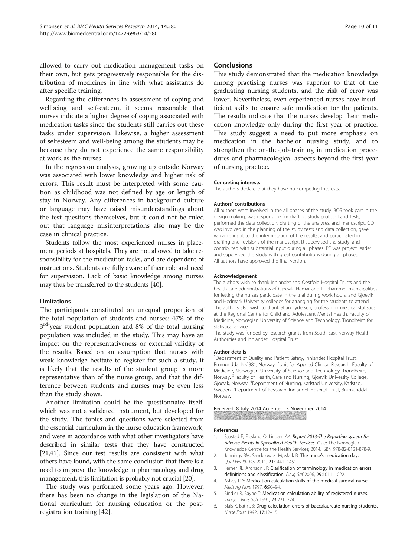<span id="page-9-0"></span>allowed to carry out medication management tasks on their own, but gets progressively responsible for the distribution of medicines in line with what assistants do after specific training.

Regarding the differences in assessment of coping and wellbeing and self-esteem, it seems reasonable that nurses indicate a higher degree of coping associated with medication tasks since the students still carries out these tasks under supervision. Likewise, a higher assessment of selfesteem and well-being among the students may be because they do not experience the same responsibility at work as the nurses.

In the regression analysis, growing up outside Norway was associated with lower knowledge and higher risk of errors. This result must be interpreted with some caution as childhood was not defined by age or length of stay in Norway. Any differences in background culture or language may have raised misunderstandings about the test questions themselves, but it could not be ruled out that language misinterpretations also may be the case in clinical practice.

Students follow the most experienced nurses in placement periods at hospitals. They are not allowed to take responsibility for the medication tasks, and are dependent of instructions. Students are fully aware of their role and need for supervision. Lack of basic knowledge among nurses may thus be transferred to the students [[40](#page-10-0)].

# Limitations

The participants constituted an unequal proportion of the total population of students and nurses: 47% of the 3<sup>rd-</sup>year student population and 8% of the total nursing population was included in the study. This may have an impact on the representativeness or external validity of the results. Based on an assumption that nurses with weak knowledge hesitate to register for such a study, it is likely that the results of the student group is more representative than of the nurse group, and that the difference between students and nurses may be even less than the study shows.

Another limitation could be the questionnaire itself, which was not a validated instrument, but developed for the study. The topics and questions were selected from the essential curriculum in the nurse education framework, and were in accordance with what other investigators have described in similar tests that they have constructed [[21,41\]](#page-10-0). Since our test results are consistent with what others have found, with the same conclusion that there is a need to improve the knowledge in pharmacology and drug management, this limitation is probably not crucial [[20](#page-10-0)].

The study was performed some years ago. However, there has been no change in the legislation of the National curriculum for nursing education or the postregistration training [\[42](#page-10-0)].

# Conclusions

This study demonstrated that the medication knowledge among practising nurses was superior to that of the graduating nursing students, and the risk of error was lower. Nevertheless, even experienced nurses have insufficient skills to ensure safe medication for the patients. The results indicate that the nurses develop their medication knowledge only during the first year of practice. This study suggest a need to put more emphasis on medication in the bachelor nursing study, and to strengthen the on-the-job-training in medication procedures and pharmacological aspects beyond the first year of nursing practice.

#### Competing interests

The authors declare that they have no competing interests.

#### Authors' contributions

All authors were involved in the all phases of the study. BOS took part in the design making, was responsible for drafting study protocol and tests, performed the data collection, drafting of the analyses, and manuscript. GD was involved in the planning of the study tests and data collection, gave valuable input to the interpretation of the results, and participated in drafting and revisions of the manuscript. IJ supervised the study, and contributed with substantial input during all phases. PF was project leader and supervised the study with great contributions during all phases. All authors have approved the final version.

#### Acknowledgement

The authors wish to thank Innlandet and Oestfold Hospital Trusts and the health care administrations of Gjoevik, Hamar and Lillehammer municipalities for letting the nurses participate in the trial during work hours, and Gjoevik and Hedmark University colleges for arranging for the students to attend. The authors also wish to thank Stian Lydersen, professor in medical statistics at the Regional Centre for Child and Adolescent Mental Health, Faculty of Medicine, Norwegian University of Science and Technology, Trondheim for statistical advice.

The study was funded by research grants from South-East Norway Health Authorities and Innlandet Hospital Trust.

#### Author details

<sup>1</sup>Department of Quality and Patient Safety, Innlandet Hospital Trust Brumunddal N-2381, Norway. <sup>2</sup>Unit for Applied Clinical Research, Faculty of Medicine, Norwegian University of Science and Technology, Trondheim, Norway. <sup>3</sup> Faculty of Health, Care and Nursing, Gjoevik University College, Gjoevik, Norway. <sup>4</sup>Department of Nursing, Karlstad University, Karlstad, Sweden. <sup>5</sup>Department of Research, Innlandet Hospital Trust, Brumunddal Norway.

#### Received: 8 July 2014 Accepted: 3 November 2014

#### References

- 1. Saastad E, Flesland O, Lindahl AK: Report 2013-The Reporting system for Adverse Events in Specialized Health Services. Oslo: The Norwegian
- Knowledge Centre for the Health Services; 2014. ISBN 978-82-8121-878-9. 2. Jennings BM, Sandelowski M, Mark B: The nurse's medication day.
- Qual Health Res 2011, 21:1441–1451. 3. Ferner RE, Aronson JK: Clarification of terminology in medication errors: definitions and classification. Drug Saf 2006, 29:1011–1022.
- 4. Ashby DA: Medication calculation skills of the medical-surgical nurse. Medsurg Nurs 1997, 6:90–94.
- 5. Bindler R, Bayne T: Medication calculation ability of registered nurses. Image J Nurs Sch 1991, 23:221–224.
- 6. Blais K, Bath JB: Drug calculation errors of baccalaureate nursing students. Nurse Educ 1992, 17:12–15.